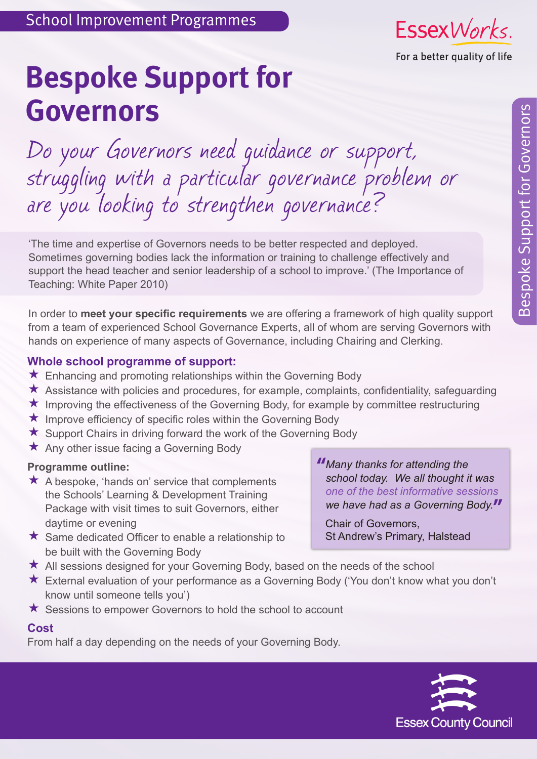

# **Bespoke Support for Governors**

Do your Governors need guidance or support, struggling with a particular governance problem or are you looking to strengthen governance?

'The time and expertise of Governors needs to be better respected and deployed. Sometimes governing bodies lack the information or training to challenge effectively and support the head teacher and senior leadership of a school to improve.' (The Importance of Teaching: White Paper 2010)

In order to **meet your specific requirements** we are offering a framework of high quality support from a team of experienced School Governance Experts, all of whom are serving Governors with hands on experience of many aspects of Governance, including Chairing and Clerking.

## **Whole school programme of support:**

- ★ Enhancing and promoting relationships within the Governing Body
- $\star$  Assistance with policies and procedures, for example, complaints, confidentiality, safeguarding
- $\star$  Improving the effectiveness of the Governing Body, for example by committee restructuring
- $\star$  Improve efficiency of specific roles within the Governing Body
- $\star$  Support Chairs in driving forward the work of the Governing Body
- $\star$  Any other issue facing a Governing Body

#### **Programme outline:**

 $\star$  A bespoke, 'hands on' service that complements the Schools' Learning & Development Training Package with visit times to suit Governors, either daytime or evening

*Many thanks for attending the*  **"** *school today. We all thought it was one of the best informative sessions we have had as a Governing Body.* **"** 

 $\star$  Same dedicated Officer to enable a relationship to be built with the Governing Body Chair of Governors,

- St Andrew's Primary, Halstead
- All sessions designed for your Governing Body, based on the needs of the school
- External evaluation of your performance as a Governing Body ('You don't know what you don't know until someone tells you')
- $\star$  Sessions to empower Governors to hold the school to account

#### **Cost**

From half a day depending on the needs of your Governing Body.